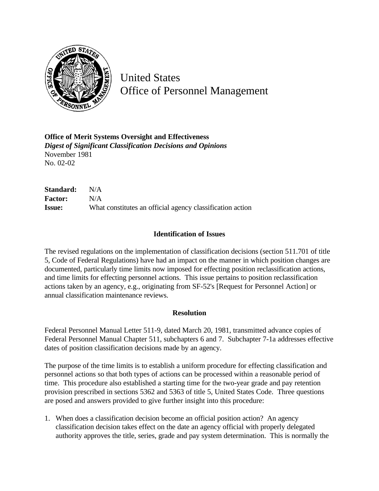

United States Office of Personnel Management

**Office of Merit Systems Oversight and Effectiveness** *Digest of Significant Classification Decisions and Opinions* November 1981 No. 02-02

**Standard:** N/A **Factor:** N/A **Issue:** What constitutes an official agency classification action

## **Identification of Issues**

The revised regulations on the implementation of classification decisions (section 511.701 of title 5, Code of Federal Regulations) have had an impact on the manner in which position changes are documented, particularly time limits now imposed for effecting position reclassification actions, and time limits for effecting personnel actions. This issue pertains to position reclassification actions taken by an agency, e.g., originating from SF-52's [Request for Personnel Action] or annual classification maintenance reviews.

## **Resolution**

Federal Personnel Manual Letter 511-9, dated March 20, 1981, transmitted advance copies of Federal Personnel Manual Chapter 511, subchapters 6 and 7. Subchapter 7-1a addresses effective dates of position classification decisions made by an agency.

The purpose of the time limits is to establish a uniform procedure for effecting classification and personnel actions so that both types of actions can be processed within a reasonable period of time. This procedure also established a starting time for the two-year grade and pay retention provision prescribed in sections 5362 and 5363 of title 5, United States Code. Three questions are posed and answers provided to give further insight into this procedure:

1. When does a classification decision become an official position action? An agency classification decision takes effect on the date an agency official with properly delegated authority approves the title, series, grade and pay system determination. This is normally the